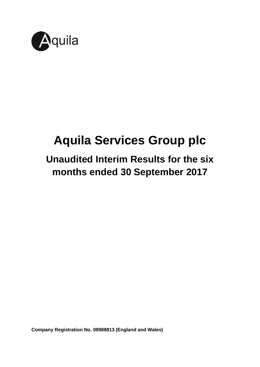

# **Aquila Services Group plc**

## **Unaudited Interim Results for the six months ended 30 September 2017**

**Company Registration No. 08988813 (England and Wales)**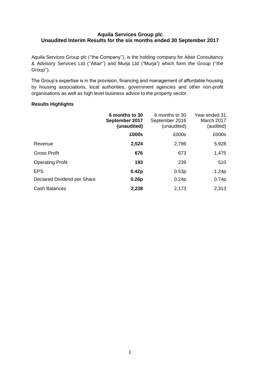#### **Aquila Services Group plc Unaudited Interim Results for the six months ended 30 September 2017**

Aquila Services Group plc (''the Company''), is the holding company for Altair Consultancy & Advisory Services Ltd (''Altair'') and Murja Ltd ("Murja") which form the Group (''the Group'').

The Group's expertise is in the provision, financing and management of affordable housing by housing associations, local authorities, government agencies and other non-profit organisations as well as high level business advice to the property sector.

#### **Results Highlights**

|                             | 6 months to 30<br>September 2017<br>(unaudited) | 6 months to 30<br>September 2016<br>(unaudited) | Year ended 31<br>March 2017<br>(audited) |
|-----------------------------|-------------------------------------------------|-------------------------------------------------|------------------------------------------|
|                             | £000s                                           | £000s                                           | £000s                                    |
| Revenue                     | 2,524                                           | 2,796                                           | 5,928                                    |
| Gross Profit                | 676                                             | 673                                             | 1,475                                    |
| <b>Operating Profit</b>     | 193                                             | 239                                             | 510                                      |
| <b>EPS</b>                  | 0.42p                                           | 0.53p                                           | 1.24p                                    |
| Declared Dividend per Share | 0.26p                                           | 0.24p                                           | 0.74p                                    |
| <b>Cash Balances</b>        | 2,238                                           | 2,173                                           | 2,313                                    |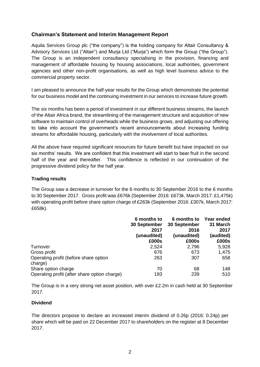#### **Chairman's Statement and Interim Management Report**

Aquila Services Group plc ("the company") is the holding company for Altair Consultancy & Advisory Services Ltd ("Altair") and Murja Ltd ("Murja") which form the Group ("the Group"). The Group is an independent consultancy specialising in the provision, financing and management of affordable housing by housing associations, local authorities, government agencies and other non-profit organisations, as well as high level business advice to the commercial property sector.

I am pleased to announce the half-year results for the Group which demonstrate the potential for our business model and the continuing investment in our services to increase future growth.

The six months has been a period of investment in our different business streams, the launch of the Altair Africa brand, the streamlining of the management structure and acquisition of new software to maintain control of overheads while the business grows, and adjusting our offering to take into account the government's recent announcements about increasing funding streams for affordable housing, particularly with the involvement of local authorities.

All the above have required significant resources for future benefit but have impacted on our six months' results. We are confident that this investment will start to bear fruit in the second half of the year and thereafter. This confidence is reflected in our continuation of the progressive dividend policy for the half year.

#### **Trading results**

The Group saw a decrease in turnover for the 6 months to 30 September 2016 to the 6 months to 30 September 2017. Gross profit was £676k (September 2016: £673k, March 2017: £1,475k) with operating profit before share option charge of £263k (September 2016: £307k, March 2017: £658k).

|                                                  | 6 months to<br>30 September<br>2017<br>(unaudited)<br>£000s | 6 months to<br>30 September<br>2016<br>(unaudited)<br>£000s | Year ended<br>31 March<br>2017<br>(audited)<br>£000s |
|--------------------------------------------------|-------------------------------------------------------------|-------------------------------------------------------------|------------------------------------------------------|
| Turnover                                         | 2,524                                                       | 2,796                                                       | 5,928                                                |
| Gross profit                                     | 676                                                         | 673                                                         | 1,475                                                |
| Operating profit (before share option<br>charge) | 263                                                         | 307                                                         | 658                                                  |
| Share option charge                              | 70                                                          | 68                                                          | 148                                                  |
| Operating profit (after share option charge)     | 193                                                         | 239                                                         | 510                                                  |

The Group is in a very strong net asset position, with over £2.2m in cash held at 30 September 2017.

#### **Dividend**

The directors propose to declare an increased interim dividend of 0.26p (2016: 0.24p) per share which will be paid on 22 December 2017 to shareholders on the register at 8 December 2017.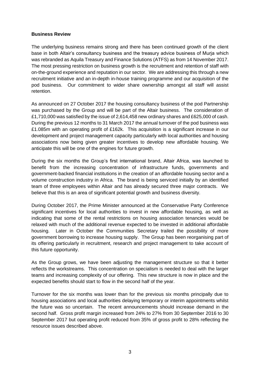#### **Business Review**

The underlying business remains strong and there has been continued growth of the client base in both Altair's consultancy business and the treasury advice business of Murja which was rebranded as Aquila Treasury and Finance Solutions (ATFS) as from 14 November 2017. The most pressing restriction on business growth is the recruitment and retention of staff with on-the-ground experience and reputation in our sector. We are addressing this through a new recruitment initiative and an in-depth in-house training programme and our acquisition of the pod business. Our commitment to wider share ownership amongst all staff will assist retention.

As announced on 27 October 2017 the housing consultancy business of the pod Partnership was purchased by the Group and will be part of the Altair business. The consideration of £1,710,000 was satisfied by the issue of 2,614,458 new ordinary shares and £625,000 of cash. During the previous 12 months to 31 March 2017 the annual turnover of the pod business was £1.085m with an operating profit of £162k. This acquisition is a significant increase in our development and project management capacity particularly with local authorities and housing associations now being given greater incentives to develop new affordable housing. We anticipate this will be one of the engines for future growth.

During the six months the Group's first international brand, Altair Africa, was launched to benefit from the increasing concentration of infrastructure funds, governments and government-backed financial institutions in the creation of an affordable housing sector and a volume construction industry in Africa. The brand is being serviced initially by an identified team of three employees within Altair and has already secured three major contracts. We believe that this is an area of significant potential growth and business diversity.

During October 2017, the Prime Minister announced at the Conservative Party Conference significant incentives for local authorities to invest in new affordable housing, as well as indicating that some of the rental restrictions on housing association tenancies would be relaxed with much of the additional revenue expected to be invested in additional affordable housing. Later in October the Communities Secretary trailed the possibility of more government borrowing to increase housing supply. The Group has been reorganising part of its offering particularly in recruitment, research and project management to take account of this future opportunity.

As the Group grows, we have been adjusting the management structure so that it better reflects the workstreams. This concentration on specialism is needed to deal with the larger teams and increasing complexity of our offering. This new structure is now in place and the expected benefits should start to flow in the second half of the year.

Turnover for the six months was lower than for the previous six months principally due to housing associations and local authorities delaying temporary or interim appointments whilst the future was so uncertain. The recent announcements should increase demand in the second half. Gross profit margin increased from 24% to 27% from 30 September 2016 to 30 September 2017 but operating profit reduced from 35% of gross profit to 28% reflecting the resource issues described above.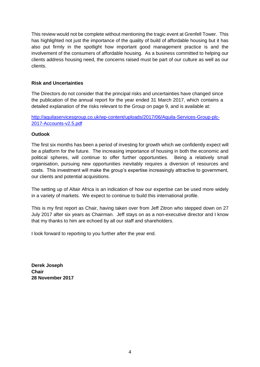This review would not be complete without mentioning the tragic event at Grenfell Tower. This has highlighted not just the importance of the quality of build of affordable housing but it has also put firmly in the spotlight how important good management practice is and the involvement of the consumers of affordable housing. As a business committed to helping our clients address housing need, the concerns raised must be part of our culture as well as our clients.

#### **Risk and Uncertainties**

The Directors do not consider that the principal risks and uncertainties have changed since the publication of the annual report for the year ended 31 March 2017, which contains a detailed explanation of the risks relevant to the Group on page 9, and is available at:

[http://aquilaservicesgroup.co.uk/wp-content/uploads/2017/06/Aquila-Services-Group-plc-](http://aquilaservicesgroup.co.uk/wp-content/uploads/2017/06/Aquila-Services-Group-plc-2017-Accounts-v2.5.pdf)[2017-Accounts-v2.5.pdf](http://aquilaservicesgroup.co.uk/wp-content/uploads/2017/06/Aquila-Services-Group-plc-2017-Accounts-v2.5.pdf)

#### **Outlook**

The first six months has been a period of investing for growth which we confidently expect will be a platform for the future. The increasing importance of housing in both the economic and political spheres, will continue to offer further opportunities. Being a relatively small organisation, pursuing new opportunities inevitably requires a diversion of resources and costs. This investment will make the group's expertise increasingly attractive to government, our clients and potential acquisitions.

The setting up of Altair Africa is an indication of how our expertise can be used more widely in a variety of markets. We expect to continue to build this international profile.

This is my first report as Chair, having taken over from Jeff Zitron who stepped down on 27 July 2017 after six years as Chairman. Jeff stays on as a non-executive director and I know that my thanks to him are echoed by all our staff and shareholders.

I look forward to reporting to you further after the year end.

**Derek Joseph Chair 28 November 2017**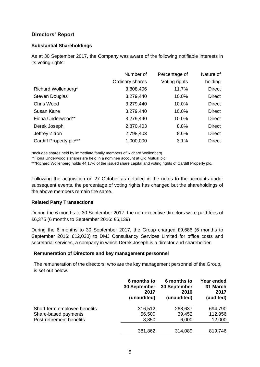#### **Directors' Report**

#### **Substantial Shareholdings**

As at 30 September 2017, the Company was aware of the following notifiable interests in its voting rights:

|                         | Number of       | Percentage of | Nature of     |
|-------------------------|-----------------|---------------|---------------|
|                         | Ordinary shares | Voting rights | holding       |
| Richard Wollenberg*     | 3,808,406       | 11.7%         | <b>Direct</b> |
| <b>Steven Douglas</b>   | 3,279,440       | 10.0%         | <b>Direct</b> |
| Chris Wood              | 3,279,440       | 10.0%         | <b>Direct</b> |
| Susan Kane              | 3,279,440       | 10.0%         | <b>Direct</b> |
| Fiona Underwood**       | 3,279,440       | 10.0%         | <b>Direct</b> |
| Derek Joseph            | 2,870,403       | 8.8%          | <b>Direct</b> |
| Jeffrey Zitron          | 2,798,403       | 8.6%          | <b>Direct</b> |
| Cardiff Property plc*** | 1,000,000       | 3.1%          | <b>Direct</b> |

\*Includes shares held by immediate family members of Richard Wollenberg

\*\*Fiona Underwood's shares are held in a nominee account at Old Mutual plc.

\*\*\*Richard Wollenberg holds 44.17% of the issued share capital and voting rights of Cardiff Property plc.

Following the acquisition on 27 October as detailed in the notes to the accounts under subsequent events, the percentage of voting rights has changed but the shareholdings of the above members remain the same.

#### **Related Party Transactions**

During the 6 months to 30 September 2017, the non-executive directors were paid fees of £6,375 (6 months to September 2016: £6,139)

During the 6 months to 30 September 2017, the Group charged £9,686 (6 months to September 2016: £12,030) to DMJ Consultancy Services Limited for office costs and secretarial services, a company in which Derek Joseph is a director and shareholder.

#### **Remuneration of Directors and key management personnel**

The remuneration of the directors, who are the key management personnel of the Group, is set out below.

|                              | 6 months to<br><b>30 September</b><br>2017<br>(unaudited) | 6 months to<br><b>30 September</b><br>2016<br>(unaudited) | Year ended<br>31 March<br>2017<br>(audited) |
|------------------------------|-----------------------------------------------------------|-----------------------------------------------------------|---------------------------------------------|
| Short-term employee benefits | 316,512                                                   | 268,637                                                   | 694,790                                     |
| Share-based payments         | 56,500                                                    | 39,452                                                    | 112,956                                     |
| Post-retirement benefits     | 8,850                                                     | 6,000                                                     | 12,000                                      |
|                              | 381,862                                                   | 314,089                                                   | 819,746                                     |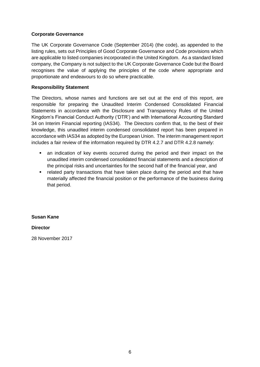#### **Corporate Governance**

The UK Corporate Governance Code (September 2014) (the code), as appended to the listing rules, sets out Principles of Good Corporate Governance and Code provisions which are applicable to listed companies incorporated in the United Kingdom. As a standard listed company, the Company is not subject to the UK Corporate Governance Code but the Board recognises the value of applying the principles of the code where appropriate and proportionate and endeavours to do so where practicable.

#### **Responsibility Statement**

The Directors, whose names and functions are set out at the end of this report, are responsible for preparing the Unaudited Interim Condensed Consolidated Financial Statements in accordance with the Disclosure and Transparency Rules of the United Kingdom's Financial Conduct Authority ('DTR') and with International Accounting Standard 34 on Interim Financial reporting (IAS34). The Directors confirm that, to the best of their knowledge, this unaudited interim condensed consolidated report has been prepared in accordance with IAS34 as adopted by the European Union. The interim management report includes a fair review of the information required by DTR 4.2.7 and DTR 4.2.8 namely:

- an indication of key events occurred during the period and their impact on the unaudited interim condensed consolidated financial statements and a description of the principal risks and uncertainties for the second half of the financial year, and
- related party transactions that have taken place during the period and that have materially affected the financial position or the performance of the business during that period.

#### **Susan Kane**

#### **Director**

28 November 2017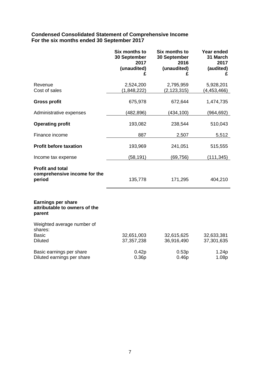#### **Condensed Consolidated Statement of Comprehensive Income For the six months ended 30 September 2017**

|                                                                      | Six months to<br>30 September<br>2017<br>(unaudited)<br>£ | Six months to<br>30 September<br>2016<br>(unaudited)<br>£ | Year ended<br>31 March<br>2017<br>(audited)<br>£ |
|----------------------------------------------------------------------|-----------------------------------------------------------|-----------------------------------------------------------|--------------------------------------------------|
| Revenue<br>Cost of sales                                             | 2,524,200<br>(1,848,222)                                  | 2,795,959<br>(2, 123, 315)                                | 5,928,201<br>(4, 453, 466)                       |
| <b>Gross profit</b>                                                  | 675,978                                                   | 672,644                                                   | 1,474,735                                        |
| Administrative expenses                                              | (482, 896)                                                | (434, 100)                                                | (964, 692)                                       |
| <b>Operating profit</b>                                              | 193,082                                                   | 238,544                                                   | 510,043                                          |
| Finance income                                                       | 887                                                       | 2,507                                                     | 5,512                                            |
| <b>Profit before taxation</b>                                        | 193,969                                                   | 241,051                                                   | 515,555                                          |
| Income tax expense                                                   | (58, 191)                                                 | (69, 756)                                                 | (111, 345)                                       |
| <b>Profit and total</b><br>comprehensive income for the<br>period    | 135,778                                                   | 171,295                                                   | 404,210                                          |
| <b>Earnings per share</b><br>attributable to owners of the<br>parent |                                                           |                                                           |                                                  |
| Weighted average number of                                           |                                                           |                                                           |                                                  |
| shares:<br><b>Basic</b><br><b>Diluted</b>                            | 32,651,003<br>37, 357, 238                                | 32,615,625<br>36,916,490                                  | 32,633,381<br>37,301,635                         |
| Basic earnings per share<br>Diluted earnings per share               | 0.42p<br>0.36p                                            | 0.53p<br>0.46p                                            | 1.24p<br>1.08p                                   |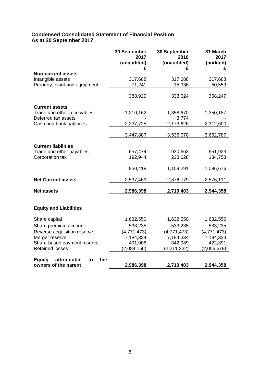#### **Condensed Consolidated Statement of Financial Position As at 30 September 2017**

|                                                    | 30 September<br>2017<br>(unaudited) | 30 September<br>2016<br>(unaudited) | 31 March<br>2017<br>(audited) |
|----------------------------------------------------|-------------------------------------|-------------------------------------|-------------------------------|
| <b>Non-current assets</b>                          |                                     |                                     |                               |
| Intangible assets                                  | 317,688                             | 317,688                             | 317,688                       |
| Property, plant and equipment                      | 71,241                              | 15,936                              | 50,559                        |
|                                                    | 388,929                             | 333,624                             | 368,247                       |
| <b>Current assets</b>                              |                                     |                                     |                               |
| Trade and other receivables<br>Deferred tax assets | 1,210,162                           | 1,358,670<br>3,774                  | 1,350,187                     |
| Cash and bank balances                             | 2,237,725                           | 2,173,626                           | 2,312,600                     |
|                                                    | 3,447,887                           | 3,536,070                           | 3,662,787                     |
|                                                    |                                     |                                     |                               |
| <b>Current liabilities</b>                         |                                     |                                     |                               |
| Trade and other payables                           | 657,474                             | 930,663                             | 951,923                       |
| Corporation tax                                    | 192,944                             | 228,628                             | 134,753                       |
|                                                    | 850,418                             | 1,159,291                           | 1,086,676                     |
| <b>Net Current assets</b>                          | 2,597,469                           | 2,376,779                           | 2,576,111                     |
| <b>Net assets</b>                                  | 2,986,398                           | 2,710,403                           | 2,944,358                     |
|                                                    |                                     |                                     |                               |
| <b>Equity and Liabilities</b>                      |                                     |                                     |                               |
| Share capital                                      | 1,632,550                           | 1,632,550                           | 1,632,550                     |
| Share premium account                              | 533,235                             | 533,235                             | 533,235                       |
| Reverse acquisition reserve                        | (4,771,473)                         | (4,771,473)                         | (4,771,473)                   |
| Merger reserve                                     | 7,184,334                           | 7,184,334                           | 7,184,334                     |
| Share-based payment reserve                        | 491,908                             | 342,989                             | 422,391                       |
| <b>Retained losses</b>                             | (2,084,156)                         | (2, 211, 232)                       | (2,056,679)                   |
| <b>Equity</b><br>attributable<br>the<br>to         |                                     |                                     |                               |
| owners of the parent                               | 2,986,398                           | 2,710,403                           | 2,944,358                     |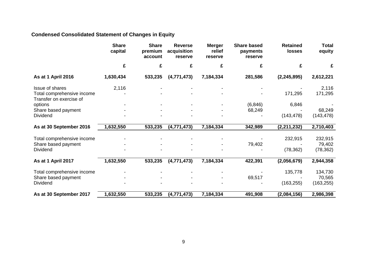### **Condensed Consolidated Statement of Changes in Equity**

|                                                       | <b>Share</b><br>capital | <b>Share</b><br>premium<br>account | <b>Reverse</b><br>acquisition<br>reserve | <b>Merger</b><br>relief<br>reserve | <b>Share based</b><br>payments<br>reserve | <b>Retained</b><br><b>losses</b> | <b>Total</b><br>equity |
|-------------------------------------------------------|-------------------------|------------------------------------|------------------------------------------|------------------------------------|-------------------------------------------|----------------------------------|------------------------|
|                                                       | £                       | £                                  | £                                        | £                                  | £                                         | £                                | £                      |
| <b>As at 1 April 2016</b>                             | 1,630,434               | 533,235                            | (4,771,473)                              | 7,184,334                          | 281,586                                   | (2, 245, 895)                    | 2,612,221              |
| <b>Issue of shares</b>                                | 2,116                   |                                    |                                          |                                    |                                           |                                  | 2,116                  |
| Total comprehensive income<br>Transfer on exercise of |                         |                                    |                                          |                                    |                                           | 171,295                          | 171,295                |
| options                                               |                         |                                    |                                          |                                    | (6, 846)                                  | 6,846                            |                        |
| Share based payment                                   |                         |                                    |                                          |                                    | 68,249                                    |                                  | 68,249                 |
| <b>Dividend</b>                                       |                         |                                    |                                          |                                    |                                           | (143, 478)                       | (143, 478)             |
| As at 30 September 2016                               | 1,632,550               | 533,235                            | (4,771,473)                              | 7,184,334                          | 342,989                                   | (2, 211, 232)                    | 2,710,403              |
|                                                       |                         |                                    |                                          |                                    |                                           |                                  |                        |
| Total comprehensive income<br>Share based payment     |                         |                                    |                                          |                                    | 79,402                                    | 232,915                          | 232,915<br>79,402      |
| Dividend                                              |                         |                                    |                                          |                                    |                                           | (78, 362)                        | (78, 362)              |
| As at 1 April 2017                                    | 1,632,550               | 533,235                            | (4,771,473)                              | 7,184,334                          | 422,391                                   | (2,056,679)                      | 2,944,358              |
|                                                       |                         |                                    |                                          |                                    |                                           |                                  |                        |
| Total comprehensive income                            |                         |                                    |                                          |                                    |                                           | 135,778                          | 134,730                |
| Share based payment<br>Dividend                       |                         |                                    |                                          |                                    | 69,517                                    | (163, 255)                       | 70,565<br>(163, 255)   |
| As at 30 September 2017                               | 1,632,550               | 533,235                            | (4, 771, 473)                            | 7,184,334                          | 491,908                                   | (2,084,156)                      | 2,986,398              |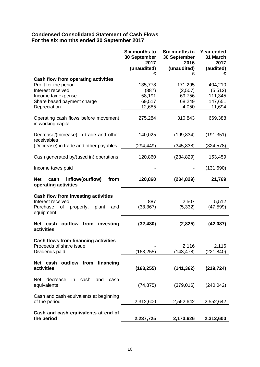#### **Condensed Consolidated Statement of Cash Flows For the six months ended 30 September 2017**

|                                                                        | Six months to<br>30 September<br>2017<br>(unaudited)<br>£ | Six months to<br>30 September<br>2016<br>(unaudited)<br>£ | Year ended<br>31 March<br>2017<br>(audited)<br>£ |
|------------------------------------------------------------------------|-----------------------------------------------------------|-----------------------------------------------------------|--------------------------------------------------|
| <b>Cash flow from operating activities</b>                             |                                                           |                                                           |                                                  |
| Profit for the period                                                  | 135,778                                                   | 171,295                                                   | 404,210                                          |
| Interest received                                                      | (887)                                                     | (2,507)                                                   | (5, 512)                                         |
| Income tax expense                                                     | 58,191                                                    | 69,756                                                    | 111,345                                          |
| Share based payment charge<br>Depreciation                             | 69,517<br>12,685                                          | 68,249<br>4,050                                           | 147,651<br>11,694                                |
|                                                                        |                                                           |                                                           |                                                  |
| Operating cash flows before movement<br>in working capital             | 275,284                                                   | 310,843                                                   | 669,388                                          |
| Decrease/(Increase) in trade and other<br>receivables                  | 140,025                                                   | (199, 834)                                                | (191, 351)                                       |
| (Decrease) in trade and other payables                                 | (294,449)                                                 | (345, 838)                                                | (324, 578)                                       |
| Cash generated by/(used in) operations                                 | 120,860                                                   | (234, 829)                                                | 153,459                                          |
| Income taxes paid                                                      |                                                           |                                                           | (131, 690)                                       |
| from<br><b>Net</b><br>cash<br>inflow/(outflow)<br>operating activities | 120,860                                                   | (234, 829)                                                | 21,769                                           |
| <b>Cash flow from investing activities</b>                             |                                                           |                                                           |                                                  |
| Interest received                                                      | 887                                                       | 2,507                                                     | 5,512                                            |
| Purchase<br>of<br>property,<br>plant<br>and<br>equipment               | (33, 367)                                                 | (5, 332)                                                  | (47, 599)                                        |
| outflow from<br>Net cash<br>investing<br>activities                    | (32, 480)                                                 | (2,825)                                                   | (42,087)                                         |
| <b>Cash flows from financing activities</b>                            |                                                           |                                                           |                                                  |
| Proceeds of share issue                                                |                                                           | 2,116                                                     | 2,116                                            |
| Dividends paid                                                         | (163, 255)                                                | (143, 478)                                                | (221,840)                                        |
|                                                                        |                                                           |                                                           |                                                  |
| outflow from financing<br>Net cash<br>activities                       | (163,255)                                                 | (141, 362)                                                | (219, 724)                                       |
|                                                                        |                                                           |                                                           |                                                  |
| cash<br>cash<br>Net<br>decrease<br>in<br>and<br>equivalents            | (74, 875)                                                 | (379,016)                                                 | (240, 042)                                       |
| Cash and cash equivalents at beginning                                 |                                                           |                                                           |                                                  |
| of the period                                                          | 2,312,600                                                 | 2,552,642                                                 | 2,552,642                                        |
| Cash and cash equivalents at end of                                    |                                                           |                                                           |                                                  |
| the period                                                             | 2,237,725                                                 | 2,173,626                                                 | 2,312,600                                        |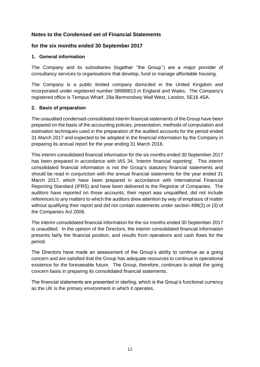#### **Notes to the Condensed set of Financial Statements**

#### **for the six months ended 30 September 2017**

#### **1. General information**

The Company and its subsidiaries (together ''the Group'') are a major provider of consultancy services to organisations that develop, fund or manage affordable housing.

The Company is a public limited company domiciled in the United Kingdom and incorporated under registered number 08988813 in England and Wales. The Company's registered office is Tempus Wharf, 29a Bermondsey Wall West, London, SE16 4SA.

#### **2. Basis of preparation**

The unaudited condensed consolidated interim financial statements of the Group have been prepared on the basis of the accounting policies, presentation, methods of computation and estimation techniques used in the preparation of the audited accounts for the period ended 31 March 2017 and expected to be adopted in the financial information by the Company in preparing its annual report for the year ending 31 March 2018.

This interim consolidated financial information for the six months ended 30 September 2017 has been prepared in accordance with IAS 34, 'Interim financial reporting'. This interim consolidated financial information is not the Group's statutory financial statements and should be read in conjunction with the annual financial statements for the year ended 31 March 2017, which have been prepared in accordance with International Financial Reporting Standard (IFRS) and have been delivered to the Registrar of Companies. The auditors have reported on those accounts; their report was unqualified, did not include references to any matters to which the auditors drew attention by way of emphasis of matter without qualifying their report and did not contain statements under section 498(2) or (3) of the Companies Act 2006.

The interim consolidated financial information for the six months ended 30 September 2017 is unaudited. In the opinion of the Directors, the interim consolidated financial information presents fairly the financial position, and results from operations and cash flows for the period.

The Directors have made an assessment of the Group's ability to continue as a going concern and are satisfied that the Group has adequate resources to continue in operational existence for the foreseeable future. The Group, therefore, continues to adopt the going concern basis in preparing its consolidated financial statements.

The financial statements are presented in sterling, which is the Group's functional currency as the UK is the primary environment in which it operates.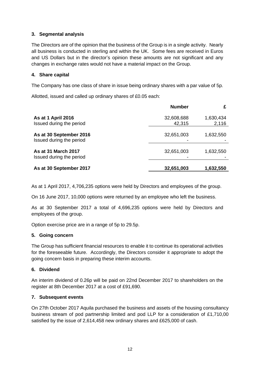#### **3. Segmental analysis**

The Directors are of the opinion that the business of the Group is in a single activity. Nearly all business is conducted in sterling and within the UK. Some fees are received in Euros and US Dollars but in the director's opinion these amounts are not significant and any changes in exchange rates would not have a material impact on the Group.

#### **4. Share capital**

The Company has one class of share in issue being ordinary shares with a par value of 5p.

Allotted, issued and called up ordinary shares of £0.05 each:

|                                                        | <b>Number</b>        |                    |
|--------------------------------------------------------|----------------------|--------------------|
| As at 1 April 2016<br>Issued during the period         | 32,608,688<br>42,315 | 1,630,434<br>2,116 |
| As at 30 September 2016<br>Issued during the period    | 32,651,003           | 1,632,550          |
| <b>As at 31 March 2017</b><br>Issued during the period | 32,651,003           | 1,632,550          |
| As at 30 September 2017                                | 32,651,003           | 1,632,550          |

As at 1 April 2017, 4,706,235 options were held by Directors and employees of the group.

On 16 June 2017, 10,000 options were returned by an employee who left the business.

As at 30 September 2017 a total of 4,696,235 options were held by Directors and employees of the group.

Option exercise price are in a range of 5p to 29.5p.

#### **5. Going concern**

The Group has sufficient financial resources to enable it to continue its operational activities for the foreseeable future. Accordingly, the Directors consider it appropriate to adopt the going concern basis in preparing these interim accounts.

#### **6. Dividend**

An interim dividend of 0.26p will be paid on 22nd December 2017 to shareholders on the register at 8th December 2017 at a cost of £91,690.

#### **7. Subsequent events**

On 27th October 2017 Aquila purchased the business and assets of the housing consultancy business stream of pod partnership limited and pod LLP for a consideration of £1,710,00 satisfied by the issue of 2,614,458 new ordinary shares and £625,000 of cash.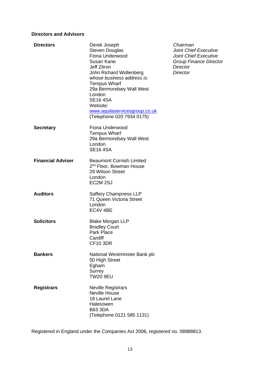#### **Directors and Advisors**

| <b>Directors</b>         | Derek Joseph<br><b>Steven Douglas</b><br>Fiona Underwood<br>Susan Kane<br><b>Jeff Zitron</b><br>John Richard Wollenberg<br>whose business address is:<br><b>Tempus Wharf</b><br>29a Bermondsey Wall West<br>London<br><b>SE16 4SA</b><br>Website:<br>www.aquilaservicesgroup.co.uk<br>(Telephone 020 7934 0175) |
|--------------------------|-----------------------------------------------------------------------------------------------------------------------------------------------------------------------------------------------------------------------------------------------------------------------------------------------------------------|
| <b>Secretary</b>         | Fiona Underwood<br><b>Tempus Wharf</b><br>29a Bermondsey Wall West<br>London<br><b>SE16 4SA</b>                                                                                                                                                                                                                 |
| <b>Financial Adviser</b> | <b>Beaumont Cornish Limited</b><br>2 <sup>nd</sup> Floor, Bowman House<br>29 Wilson Street<br>London<br>EC2M <sub>2SJ</sub>                                                                                                                                                                                     |
| <b>Auditors</b>          | <b>Saffery Champness LLP</b><br>71 Queen Victoria Street<br>London<br>EC4V 4BE                                                                                                                                                                                                                                  |
| <b>Solicitors</b>        | <b>Blake Morgan LLP</b><br><b>Bradley Court</b><br>Park Place<br>Cardiff<br><b>CF10 3DR</b>                                                                                                                                                                                                                     |
| <b>Bankers</b>           | National Westminster Bank plc<br>50 High Street<br>Egham<br>Surrey<br><b>TW20 9EU</b>                                                                                                                                                                                                                           |
| <b>Registrars</b>        | <b>Neville Registrars</b><br><b>Neville House</b><br>18 Laurel Lane<br>Halesowen<br><b>B63 3DA</b><br>(Telephone 0121 585 1131)                                                                                                                                                                                 |

**Directors** Derek Joseph *Chairman* **Joint Chief Executive** Joint Chief Executive **Group Finance Director** Director Director

Registered in England under the Companies Act 2006, registered no. 08988813.